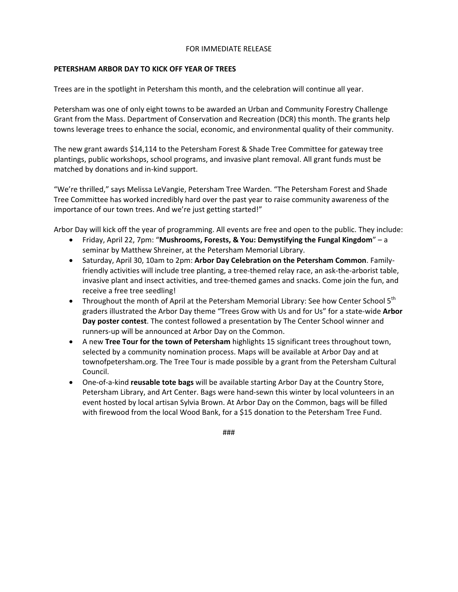## FOR IMMEDIATE RELEASE

## **PETERSHAM ARBOR DAY TO KICK OFF YEAR OF TREES**

Trees are in the spotlight in Petersham this month, and the celebration will continue all year.

Petersham was one of only eight towns to be awarded an Urban and Community Forestry Challenge Grant from the Mass. Department of Conservation and Recreation (DCR) this month. The grants help towns leverage trees to enhance the social, economic, and environmental quality of their community.

The new grant awards \$14,114 to the Petersham Forest & Shade Tree Committee for gateway tree plantings, public workshops, school programs, and invasive plant removal. All grant funds must be matched by donations and in-kind support.

"We're thrilled," says Melissa LeVangie, Petersham Tree Warden. "The Petersham Forest and Shade Tree Committee has worked incredibly hard over the past year to raise community awareness of the importance of our town trees. And we're just getting started!"

Arbor Day will kick off the year of programming. All events are free and open to the public. They include:

- Friday, April 22, 7pm: "**Mushrooms, Forests, & You: Demystifying the Fungal Kingdom**" a seminar by Matthew Shreiner, at the Petersham Memorial Library.
- Saturday, April 30, 10am to 2pm: **Arbor Day Celebration on the Petersham Common**. Familyfriendly activities will include tree planting, a tree-themed relay race, an ask-the-arborist table, invasive plant and insect activities, and tree-themed games and snacks. Come join the fun, and receive a free tree seedling!
- Throughout the month of April at the Petersham Memorial Library: See how Center School  $5<sup>th</sup>$ graders illustrated the Arbor Day theme "Trees Grow with Us and for Us" for a state-wide **Arbor Day poster contest**. The contest followed a presentation by The Center School winner and runners-up will be announced at Arbor Day on the Common.
- A new **Tree Tour for the town of Petersham** highlights 15 significant trees throughout town, selected by a community nomination process. Maps will be available at Arbor Day and at townofpetersham.org. The Tree Tour is made possible by a grant from the Petersham Cultural Council.
- One-of-a-kind **reusable tote bags** will be available starting Arbor Day at the Country Store, Petersham Library, and Art Center. Bags were hand-sewn this winter by local volunteers in an event hosted by local artisan Sylvia Brown. At Arbor Day on the Common, bags will be filled with firewood from the local Wood Bank, for a \$15 donation to the Petersham Tree Fund.

###